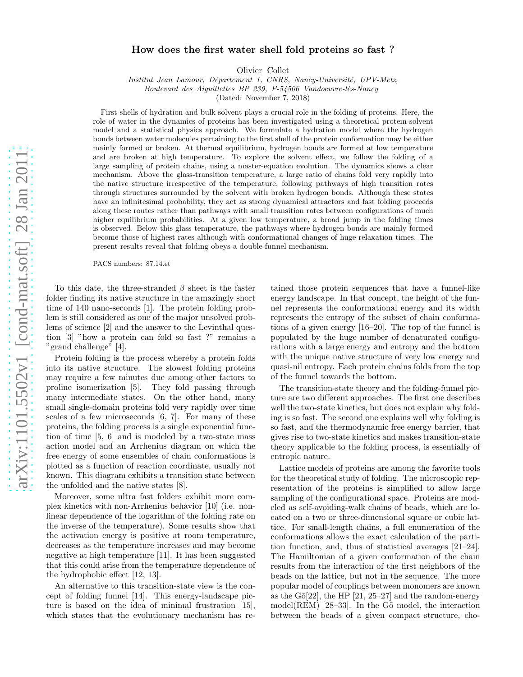# How does the first water shell fold proteins so fast ?

Olivier Collet

Institut Jean Lamour, Département 1, CNRS, Nancy-Université, UPV-Metz,

Boulevard des Aiguillettes BP 239, F-54506 Vandoeuvre-lès-Nancy

(Dated: November 7, 2018)

First shells of hydration and bulk solvent plays a crucial role in the folding of proteins. Here, the role of water in the dynamics of proteins has been investigated using a theoretical protein-solvent model and a statistical physics approach. We formulate a hydration model where the hydrogen bonds between water molecules pertaining to the first shell of the protein conformation may be either mainly formed or broken. At thermal equilibrium, hydrogen bonds are formed at low temperature and are broken at high temperature. To explore the solvent effect, we follow the folding of a large sampling of protein chains, using a master-equation evolution. The dynamics shows a clear mechanism. Above the glass-transition temperature, a large ratio of chains fold very rapidly into the native structure irrespective of the temperature, following pathways of high transition rates through structures surrounded by the solvent with broken hydrogen bonds. Although these states have an infinitesimal probability, they act as strong dynamical attractors and fast folding proceeds along these routes rather than pathways with small transition rates between configurations of much higher equilibrium probabilities. At a given low temperature, a broad jump in the folding times is observed. Below this glass temperature, the pathways where hydrogen bonds are mainly formed become those of highest rates although with conformational changes of huge relaxation times. The present results reveal that folding obeys a double-funnel mechanism.

PACS numbers: 87.14.et

To this date, the three-stranded  $\beta$  sheet is the faster folder finding its native structure in the amazingly short time of 140 nano-seconds [1]. The protein folding problem is still considered as one of the major unsolved problems of science [2] and the answer to the Levinthal question [3] "how a protein can fold so fast ?" remains a "grand challenge" [4].

Protein folding is the process whereby a protein folds into its native structure. The slowest folding proteins may require a few minutes due among other factors to proline isomerization [5]. They fold passing through many intermediate states. On the other hand, many small single-domain proteins fold very rapidly over time scales of a few microseconds [6, 7]. For many of these proteins, the folding process is a single exponential function of time [5, 6] and is modeled by a two-state mass action model and an Arrhenius diagram on which the free energy of some ensembles of chain conformations is plotted as a function of reaction coordinate, usually not known. This diagram exhibits a transition state between the unfolded and the native states [8].

Moreover, some ultra fast folders exhibit more complex kinetics with non-Arrhenius behavior [10] (i.e. nonlinear dependence of the logarithm of the folding rate on the inverse of the temperature). Some results show that the activation energy is positive at room temperature, decreases as the temperature increases and may become negative at high temperature [11]. It has been suggested that this could arise from the temperature dependence of the hydrophobic effect [12, 13].

An alternative to this transition-state view is the concept of folding funnel [14]. This energy-landscape picture is based on the idea of minimal frustration [15], which states that the evolutionary mechanism has re-

tained those protein sequences that have a funnel-like energy landscape. In that concept, the height of the funnel represents the conformational energy and its width represents the entropy of the subset of chain conformations of a given energy [16–20]. The top of the funnel is populated by the huge number of denaturated configurations with a large energy and entropy and the bottom with the unique native structure of very low energy and quasi-nil entropy. Each protein chains folds from the top of the funnel towards the bottom.

The transition-state theory and the folding-funnel picture are two different approaches. The first one describes well the two-state kinetics, but does not explain why folding is so fast. The second one explains well why folding is so fast, and the thermodynamic free energy barrier, that gives rise to two-state kinetics and makes transition-state theory applicable to the folding process, is essentially of entropic nature.

Lattice models of proteins are among the favorite tools for the theoretical study of folding. The microscopic representation of the proteins is simplified to allow large sampling of the configurational space. Proteins are modeled as self-avoiding-walk chains of beads, which are located on a two or three-dimensional square or cubic lattice. For small-length chains, a full enumeration of the conformations allows the exact calculation of the partition function, and, thus of statistical averages [21–24]. The Hamiltonian of a given conformation of the chain results from the interaction of the first neighbors of the beads on the lattice, but not in the sequence. The more popular model of couplings between monomers are known as the Gõ[22], the HP  $[21, 25-27]$  and the random-energy model(REM)  $[28-33]$ . In the G $\tilde{o}$  model, the interaction between the beads of a given compact structure, cho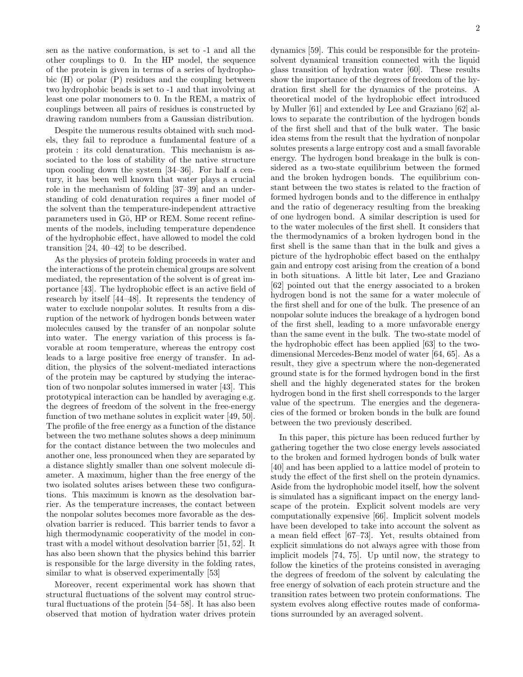sen as the native conformation, is set to -1 and all the other couplings to 0. In the HP model, the sequence of the protein is given in terms of a series of hydrophobic (H) or polar (P) residues and the coupling between two hydrophobic beads is set to -1 and that involving at least one polar monomers to 0. In the REM, a matrix of couplings between all pairs of residues is constructed by drawing random numbers from a Gaussian distribution.

Despite the numerous results obtained with such models, they fail to reproduce a fundamental feature of a protein : its cold denaturation. This mechanism is associated to the loss of stability of the native structure upon cooling down the system [34–36]. For half a century, it has been well known that water plays a crucial role in the mechanism of folding [37–39] and an understanding of cold denaturation requires a finer model of the solvent than the temperature-independent attractive parameters used in G<sub>0</sub>, HP or REM. Some recent refinements of the models, including temperature dependence of the hydrophobic effect, have allowed to model the cold transition [24, 40–42] to be described.

As the physics of protein folding proceeds in water and the interactions of the protein chemical groups are solvent mediated, the representation of the solvent is of great importance [43]. The hydrophobic effect is an active field of research by itself [44–48]. It represents the tendency of water to exclude nonpolar solutes. It results from a disruption of the network of hydrogen bonds between water molecules caused by the transfer of an nonpolar solute into water. The energy variation of this process is favorable at room temperature, whereas the entropy cost leads to a large positive free energy of transfer. In addition, the physics of the solvent-mediated interactions of the protein may be captured by studying the interaction of two nonpolar solutes immersed in water [43]. This prototypical interaction can be handled by averaging e.g. the degrees of freedom of the solvent in the free-energy function of two methane solutes in explicit water [49, 50]. The profile of the free energy as a function of the distance between the two methane solutes shows a deep minimum for the contact distance between the two molecules and another one, less pronounced when they are separated by a distance slightly smaller than one solvent molecule diameter. A maximum, higher than the free energy of the two isolated solutes arises between these two configurations. This maximum is known as the desolvation barrier. As the temperature increases, the contact between the nonpolar solutes becomes more favorable as the desolvation barrier is reduced. This barrier tends to favor a high thermodynamic cooperativity of the model in contrast with a model without desolvation barrier [51, 52]. It has also been shown that the physics behind this barrier is responsible for the large diversity in the folding rates, similar to what is observed experimentally [53]

Moreover, recent experimental work has shown that structural fluctuations of the solvent may control structural fluctuations of the protein [54–58]. It has also been observed that motion of hydration water drives protein dynamics [59]. This could be responsible for the proteinsolvent dynamical transition connected with the liquid glass transition of hydration water [60]. These results show the importance of the degrees of freedom of the hydration first shell for the dynamics of the proteins. A theoretical model of the hydrophobic effect introduced by Muller [61] and extended by Lee and Graziano [62] allows to separate the contribution of the hydrogen bonds of the first shell and that of the bulk water. The basic idea stems from the result that the hydration of nonpolar solutes presents a large entropy cost and a small favorable energy. The hydrogen bond breakage in the bulk is considered as a two-state equilibrium between the formed and the broken hydrogen bonds. The equilibrium constant between the two states is related to the fraction of formed hydrogen bonds and to the difference in enthalpy and the ratio of degeneracy resulting from the breaking of one hydrogen bond. A similar description is used for to the water molecules of the first shell. It considers that the thermodynamics of a broken hydrogen bond in the first shell is the same than that in the bulk and gives a picture of the hydrophobic effect based on the enthalpy gain and entropy cost arising from the creation of a bond in both situations. A little bit later, Lee and Graziano [62] pointed out that the energy associated to a broken hydrogen bond is not the same for a water molecule of the first shell and for one of the bulk. The presence of an nonpolar solute induces the breakage of a hydrogen bond of the first shell, leading to a more unfavorable energy than the same event in the bulk. The two-state model of the hydrophobic effect has been applied [63] to the twodimensional Mercedes-Benz model of water [64, 65]. As a result, they give a spectrum where the non-degenerated ground state is for the formed hydrogen bond in the first shell and the highly degenerated states for the broken hydrogen bond in the first shell corresponds to the larger value of the spectrum. The energies and the degeneracies of the formed or broken bonds in the bulk are found between the two previously described.

In this paper, this picture has been reduced further by gathering together the two close energy levels associated to the broken and formed hydrogen bonds of bulk water [40] and has been applied to a lattice model of protein to study the effect of the first shell on the protein dynamics. Aside from the hydrophobic model itself, how the solvent is simulated has a significant impact on the energy landscape of the protein. Explicit solvent models are very computationally expensive [66]. Implicit solvent models have been developed to take into account the solvent as a mean field effect [67–73]. Yet, results obtained from explicit simulations do not always agree with those from implicit models [74, 75]. Up until now, the strategy to follow the kinetics of the proteins consisted in averaging the degrees of freedom of the solvent by calculating the free energy of solvation of each protein structure and the transition rates between two protein conformations. The system evolves along effective routes made of conformations surrounded by an averaged solvent.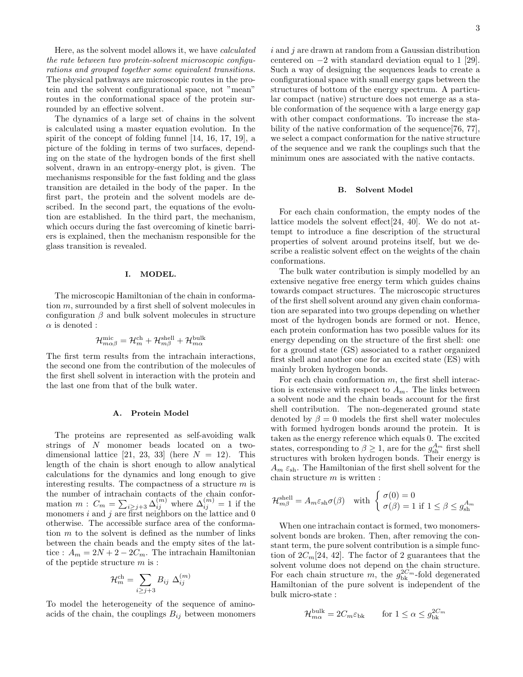Here, as the solvent model allows it, we have calculated the rate between two protein-solvent microscopic configurations and grouped together some equivalent transitions. The physical pathways are microscopic routes in the protein and the solvent configurational space, not "mean" routes in the conformational space of the protein surrounded by an effective solvent.

The dynamics of a large set of chains in the solvent is calculated using a master equation evolution. In the spirit of the concept of folding funnel [14, 16, 17, 19], a picture of the folding in terms of two surfaces, depending on the state of the hydrogen bonds of the first shell solvent, drawn in an entropy-energy plot, is given. The mechanisms responsible for the fast folding and the glass transition are detailed in the body of the paper. In the first part, the protein and the solvent models are described. In the second part, the equations of the evolution are established. In the third part, the mechanism, which occurs during the fast overcoming of kinetic barriers is explained, then the mechanism responsible for the glass transition is revealed.

#### I. MODEL.

The microscopic Hamiltonian of the chain in conformation m, surrounded by a first shell of solvent molecules in configuration  $\beta$  and bulk solvent molecules in structure  $\alpha$  is denoted :

$$
\mathcal{H}_{m\alpha\beta}^{\text{mic}}=\mathcal{H}_m^{\text{ch}}+\mathcal{H}_{m\beta}^{\text{shell}}+\mathcal{H}_{m\alpha}^{\text{bulk}}
$$

The first term results from the intrachain interactions, the second one from the contribution of the molecules of the first shell solvent in interaction with the protein and the last one from that of the bulk water.

#### A. Protein Model

The proteins are represented as self-avoiding walk strings of N monomer beads located on a twodimensional lattice [21, 23, 33] (here  $N = 12$ ). This length of the chain is short enough to allow analytical calculations for the dynamics and long enough to give interesting results. The compactness of a structure  $m$  is the number of intrachain contacts of the chain conformation  $m: C_m = \sum_{i \geq j+3} \Delta_{ij}^{(m)}$  where  $\Delta_{ij}^{(m)} = 1$  if the monomers i and j are first neighbors on the lattice and  $0$ otherwise. The accessible surface area of the conformation  $m$  to the solvent is defined as the number of links between the chain beads and the empty sites of the lattice :  $A_m = 2N + 2 - 2C_m$ . The intrachain Hamiltonian of the peptide structure  $m$  is :

$$
\mathcal{H}_m^{\text{ch}} = \sum_{i \geq j+3} B_{ij} \; \Delta_{ij}^{(m)}
$$

To model the heterogeneity of the sequence of aminoacids of the chain, the couplings  $B_{ij}$  between monomers  $i$  and  $j$  are drawn at random from a Gaussian distribution centered on  $-2$  with standard deviation equal to 1 [29]. Such a way of designing the sequences leads to create a configurational space with small energy gaps between the structures of bottom of the energy spectrum. A particular compact (native) structure does not emerge as a stable conformation of the sequence with a large energy gap with other compact conformations. To increase the stability of the native conformation of the sequence [76, 77]. we select a compact conformation for the native structure of the sequence and we rank the couplings such that the minimum ones are associated with the native contacts.

#### B. Solvent Model

For each chain conformation, the empty nodes of the lattice models the solvent effect[24, 40]. We do not attempt to introduce a fine description of the structural properties of solvent around proteins itself, but we describe a realistic solvent effect on the weights of the chain conformations.

The bulk water contribution is simply modelled by an extensive negative free energy term which guides chains towards compact structures. The microscopic structures of the first shell solvent around any given chain conformation are separated into two groups depending on whether most of the hydrogen bonds are formed or not. Hence, each protein conformation has two possible values for its energy depending on the structure of the first shell: one for a ground state (GS) associated to a rather organized first shell and another one for an excited state (ES) with mainly broken hydrogen bonds.

For each chain conformation  $m$ , the first shell interaction is extensive with respect to  $A_m$ . The links between a solvent node and the chain beads account for the first shell contribution. The non-degenerated ground state denoted by  $\beta = 0$  models the first shell water molecules with formed hydrogen bonds around the protein. It is taken as the energy reference which equals 0. The excited states, corresponding to  $\beta \geq 1$ , are for the  $g_{\rm sh}^{A_m}$  first shell structures with broken hydrogen bonds. Their energy is  $A_m \varepsilon_{\rm sh}$ . The Hamiltonian of the first shell solvent for the chain structure  $m$  is written :

$$
\mathcal{H}_{m\beta}^{\text{shell}} = A_m \varepsilon_{\text{sh}} \sigma(\beta) \quad \text{with } \begin{cases} \sigma(0) = 0\\ \sigma(\beta) = 1 \text{ if } 1 \le \beta \le g_{\text{sh}}^{A_m} \end{cases}
$$

When one intrachain contact is formed, two monomerssolvent bonds are broken. Then, after removing the constant term, the pure solvent contribution is a simple function of  $2C_m[24, 42]$ . The factor of 2 guarantees that the solvent volume does not depend on the chain structure. For each chain structure  $\overrightarrow{m}$ , the  $g_{\rm bk}^{2C_m}$ -fold degenerated Hamiltonian of the pure solvent is independent of the bulk micro-state :

$$
\mathcal{H}_{m\alpha}^{\text{bulk}} = 2C_m \varepsilon_{\text{bk}} \qquad \text{for } 1 \le \alpha \le g_{\text{bk}}^{2C_m}
$$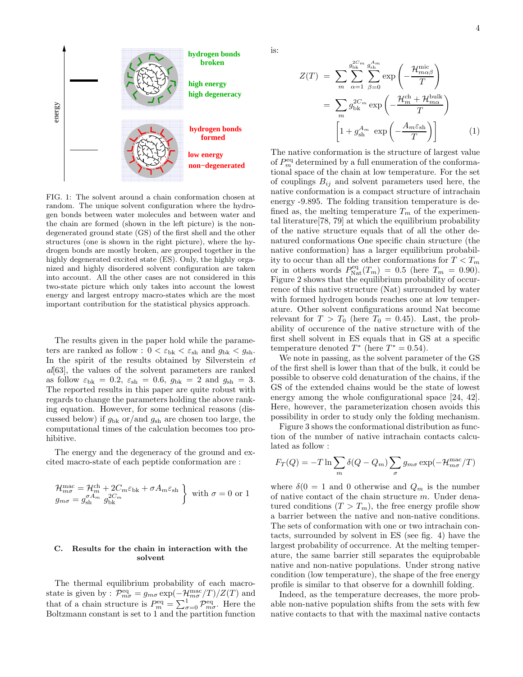



FIG. 1: The solvent around a chain conformation chosen at random. The unique solvent configuration where the hydrogen bonds between water molecules and between water and the chain are formed (shown in the left picture) is the nondegenerated ground state (GS) of the first shell and the other structures (one is shown in the right picture), where the hydrogen bonds are mostly broken, are grouped together in the highly degenerated excited state (ES). Only, the highly organized and highly disordered solvent configuration are taken into account. All the other cases are not considered in this two-state picture which only takes into account the lowest energy and largest entropy macro-states which are the most important contribution for the statistical physics approach.

The results given in the paper hold while the parameters are ranked as follow :  $0 < \varepsilon_{\text{bk}} < \varepsilon_{\text{sh}}$  and  $g_{\text{bk}} < g_{\text{sh}}$ . In the spirit of the results obtained by Silverstein  $et$ al[63], the values of the solvent parameters are ranked as follow  $\varepsilon_{\rm bk} = 0.2$ ,  $\varepsilon_{\rm sh} = 0.6$ ,  $g_{\rm bk} = 2$  and  $g_{\rm sh} = 3$ . The reported results in this paper are quite robust with regards to change the parameters holding the above ranking equation. However, for some technical reasons (discussed below) if  $g_{\text{bk}}$  or/and  $g_{\text{sh}}$  are chosen too large, the computational times of the calculation becomes too prohibitive.

The energy and the degeneracy of the ground and excited macro-state of each peptide conformation are :

$$
\mathcal{H}_{m\sigma}^{\text{mac}} = \mathcal{H}_{m}^{\text{ch}} + 2C_{m}\varepsilon_{\text{bk}} + \sigma A_{m}\varepsilon_{\text{sh}} \}
$$
 with  $\sigma = 0$  or  $1$   
 $g_{m\sigma} = g_{\text{sh}}^{\sigma A_{m}} g_{\text{bk}}^{2C_{m}}$ 

## C. Results for the chain in interaction with the solvent

The thermal equilibrium probability of each macrostate is given by :  $\mathcal{P}_{m\sigma}^{\text{eq}} = g_{m\sigma} \exp(-\mathcal{H}_{m\sigma}^{\text{mac}}/T)/Z(T)$  and that of a chain structure is  $P_m^{\text{eq}} = \sum_{\sigma=0}^{1} \mathcal{P}_{m\sigma}^{\text{eq}}$ . Here the Boltzmann constant is set to 1 and the partition function is:

$$
Z(T) = \sum_{m} \sum_{\alpha=1}^{g_{\text{bk}}^{2C_m}} \sum_{\beta=0}^{g_{\text{sh}}^{4m}} \exp\left(-\frac{\mathcal{H}_{m\alpha\beta}^{\text{mic}}}{T}\right)
$$
  
= 
$$
\sum_{m} g_{\text{bk}}^{2C_m} \exp\left(-\frac{\mathcal{H}_{m}^{\text{ch}} + \mathcal{H}_{m\alpha}^{\text{bulk}}}{T}\right)
$$
  

$$
\left[1 + g_{\text{sh}}^{A_m} \exp\left(-\frac{A_m \varepsilon_{\text{sh}}}{T}\right)\right]
$$
 (1)

The native conformation is the structure of largest value of  $P_m^{\text{eq}}$  determined by a full enumeration of the conformational space of the chain at low temperature. For the set of couplings  $B_{ij}$  and solvent parameters used here, the native conformation is a compact structure of intrachain energy -9.895. The folding transition temperature is defined as, the melting temperature  $T_m$  of the experimental literature[78, 79] at which the equilibrium probability of the native structure equals that of all the other denatured conformations One specific chain structure (the native conformation) has a larger equilibrium probability to occur than all the other conformations for  $T < T_m$ or in others words  $P_{\text{Nat}}^{\text{eq}}(T_m) = 0.5$  (here  $T_m = 0.90$ ). Figure 2 shows that the equilibrium probability of occurrence of this native structure (Nat) surrounded by water with formed hydrogen bonds reaches one at low temperature. Other solvent configurations around Nat become relevant for  $T > T_0$  (here  $T_0 = 0.45$ ). Last, the probability of occurence of the native structure with of the first shell solvent in ES equals that in GS at a specific temperature denoted  $T^*$  (here  $T^* = 0.54$ ).

We note in passing, as the solvent parameter of the GS of the first shell is lower than that of the bulk, it could be possible to observe cold denaturation of the chains, if the GS of the extended chains would be the state of lowest energy among the whole configurational space [24, 42]. Here, however, the parameterization chosen avoids this possibility in order to study only the folding mechanism.

Figure 3 shows the conformational distribution as function of the number of native intrachain contacts calculated as follow :

$$
F_T(Q) = -T \ln \sum_{m} \delta(Q - Q_m) \sum_{\sigma} g_{m\sigma} \exp(-\mathcal{H}_{m\sigma}^{\text{mac}}/T)
$$

where  $\delta(0 = 1$  and 0 otherwise and  $Q_m$  is the number of native contact of the chain structure m. Under denatured conditions  $(T > T_m)$ , the free energy profile show a barrier between the native and non-native conditions. The sets of conformation with one or two intrachain contacts, surrounded by solvent in ES (see fig. 4) have the largest probability of occurrence. At the melting temperature, the same barrier still separates the equiprobable native and non-native populations. Under strong native condition (low temperature), the shape of the free energy profile is similar to that observe for a downhill folding.

Indeed, as the temperature decreases, the more probable non-native population shifts from the sets with few native contacts to that with the maximal native contacts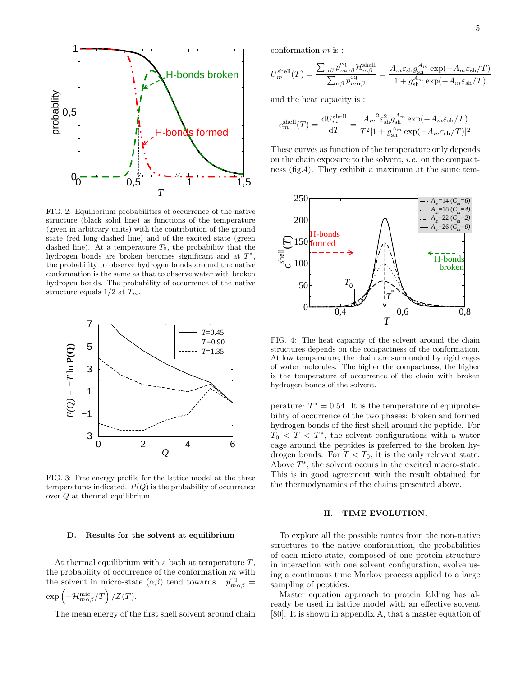

FIG. 2: Equilibrium probabilities of occurrence of the native structure (black solid line) as functions of the temperature (given in arbitrary units) with the contribution of the ground state (red long dashed line) and of the excited state (green dashed line). At a temperature  $T_0$ , the probability that the hydrogen bonds are broken becomes significant and at  $T^*$ , the probability to observe hydrogen bonds around the native conformation is the same as that to observe water with broken hydrogen bonds. The probability of occurrence of the native structure equals  $1/2$  at  $T_m$ .



FIG. 3: Free energy profile for the lattice model at the three temperatures indicated.  $P(Q)$  is the probability of occurrence over Q at thermal equilibrium.

## D. Results for the solvent at equilibrium

At thermal equilibrium with a bath at temperature  $T$ , the probability of occurrence of the conformation  $m$  with the solvent in micro-state  $(\alpha\beta)$  tend towards :  $p_{m\alpha\beta}^{\text{eq}} =$ exp  $-\mathcal{H}_{m\alpha\beta}^{\text{mic}}/T\Big)/Z(T).$ 

The mean energy of the first shell solvent around chain

conformation m is :

$$
U_m^{\rm shell}(T) = \frac{\sum_{\alpha\beta} p_{m\alpha\beta}^{\rm eq} \mathcal{H}_{m\beta}^{\rm shell}}{\sum_{\alpha\beta} p_{m\alpha\beta}^{\rm eq}} = \frac{A_m \varepsilon_{\rm sh} g_{\rm sh}^{A_m} \exp(-A_m \varepsilon_{\rm sh}/T)}{1 + g_{\rm sh}^{A_m} \exp(-A_m \varepsilon_{\rm sh}/T)}
$$

and the heat capacity is :

$$
c_m^{\text{shell}}(T) = \frac{\mathrm{d}U_m^{\text{shell}}}{\mathrm{d}T} = \frac{A_m^2 \varepsilon_{\text{sh}}^2 g_{\text{sh}}^A \exp(-A_m \varepsilon_{\text{sh}}/T)}{T^2 [1 + g_{\text{sh}}^A \exp(-A_m \varepsilon_{\text{sh}}/T)]^2}
$$

These curves as function of the temperature only depends on the chain exposure to the solvent, i.e. on the compactness (fig.4). They exhibit a maximum at the same tem-



FIG. 4: The heat capacity of the solvent around the chain structures depends on the compactness of the conformation. At low temperature, the chain are surrounded by rigid cages of water molecules. The higher the compactness, the higher is the temperature of occurrence of the chain with broken hydrogen bonds of the solvent.

perature:  $T^* = 0.54$ . It is the temperature of equiprobability of occurrence of the two phases: broken and formed hydrogen bonds of the first shell around the peptide. For  $T_0 < T < T^*$ , the solvent configurations with a water cage around the peptides is preferred to the broken hydrogen bonds. For  $T < T_0$ , it is the only relevant state. Above  $T^*$ , the solvent occurs in the excited macro-state. This is in good agreement with the result obtained for the thermodynamics of the chains presented above.

#### II. TIME EVOLUTION.

To explore all the possible routes from the non-native structures to the native conformation, the probabilities of each micro-state, composed of one protein structure in interaction with one solvent configuration, evolve using a continuous time Markov process applied to a large sampling of peptides.

Master equation approach to protein folding has already be used in lattice model with an effective solvent [80]. It is shown in appendix A, that a master equation of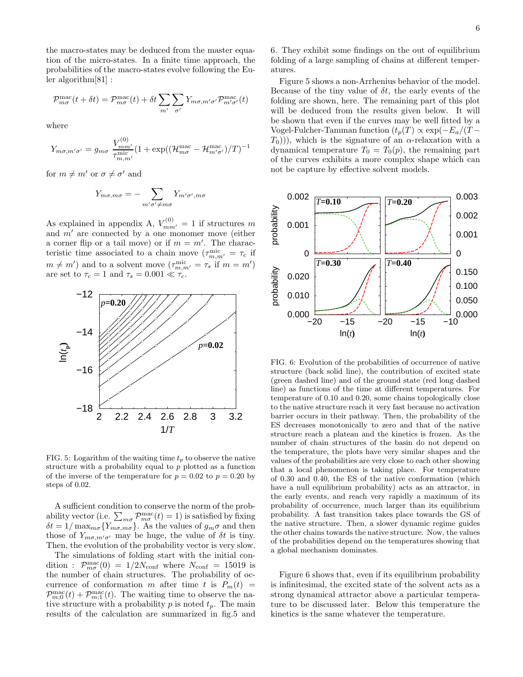the macro-states may be deduced from the master equation of the micro-states. In a finite time approach, the probabilities of the macro-states evolve following the Euler algorithm[81] :

$$
\mathcal{P}_{m\sigma}^{\text{mac}}(t + \delta t) = \mathcal{P}_{m\sigma}^{\text{mac}}(t) + \delta t \sum_{m'} \sum_{\sigma'} Y_{m\sigma, m'\sigma'} \mathcal{P}_{m'\sigma'}^{\text{mac}}(t)
$$

where

$$
Y_{m\sigma,m'\sigma'} = g_{m\sigma} \frac{V_{mm'}^{(0)}}{\tau_{m,m'}^{\text{mic}}} (1 + \exp((\mathcal{H}_{m\sigma}^{\text{mac}} - \mathcal{H}_{m'\sigma'}^{\text{mac}})/T)^{-1}
$$

for  $m \neq m'$  or  $\sigma \neq \sigma'$  and

$$
Y_{m\sigma,m\sigma} = -\sum_{m'\sigma'\neq m\sigma} Y_{m'\sigma',m\sigma}
$$

As explained in appendix A,  $V_{mm'}^{(0)} = 1$  if structures m and  $m'$  are connected by a one monomer move (either a corner flip or a tail move) or if  $m = m'$ . The characteristic time associated to a chain move  $(\tau_{m,m'}^{\text{mic}} = \tau_c \text{ if }$  $m \neq m'$ ) and to a solvent move  $(\tau_{m,m'}^{\text{mic}} = \tau_s \text{ if } m = m')$ are set to  $\tau_c = 1$  and  $\tau_s = 0.001 \ll \tau_c$ .



FIG. 5: Logarithm of the waiting time  $t_p$  to observe the native structure with a probability equal to p plotted as a function of the inverse of the temperature for  $p = 0.02$  to  $p = 0.20$  by steps of 0.02.

A sufficient condition to conserve the norm of the probability vector (i.e.  $\sum_{m\sigma} \mathcal{P}_{m\sigma}^{\text{mac}}(t) = 1$ ) is satisfied by fixing  $\delta t = 1/\max_{m\sigma} \{Y_{m\sigma,m\sigma}\}.$  As the values of  $g_m \sigma$  and then those of  $Y_{m\sigma,m'\sigma'}$  may be huge, the value of  $\delta t$  is tiny. Then, the evolution of the probability vector is very slow.

The simulations of folding start with the initial condition :  $\mathcal{P}_{m\sigma}^{\text{mac}}(0) = 1/2N_{\text{conf}}$  where  $N_{\text{conf}} = 15019$  is the number of chain structures. The probability of occurrence of conformation m after time t is  $P_m(t)$  =  $\mathcal{P}_{m;0}^{\text{mac}}(t) + \mathcal{P}_{m;1}^{\text{mac}}(t)$ . The waiting time to observe the native structure with a probability  $p$  is noted  $t_p$ . The main results of the calculation are summarized in fig.5 and

6. They exhibit some findings on the out of equilibrium folding of a large sampling of chains at different temperatures.

Figure 5 shows a non-Arrhenius behavior of the model. Because of the tiny value of  $\delta t$ , the early events of the folding are shown, here. The remaining part of this plot will be deduced from the results given below. It will be shown that even if the curves may be well fitted by a Vogel-Fulcher-Tamman function  $(t_p(T) \propto \exp(-E_a/(T (T_0)$ ), which is the signature of an  $\alpha$ -relaxation with a dynamical temperature  $T_0 = T_0(p)$ , the remaining part of the curves exhibits a more complex shape which can not be capture by effective solvent models.



FIG. 6: Evolution of the probabilities of occurrence of native structure (back solid line), the contribution of excited state (green dashed line) and of the ground state (red long dashed line) as functions of the time at different temperatures. For temperature of 0.10 and 0.20, some chains topologically close to the native structure reach it very fast because no activation barrier occurs in their pathway. Then, the probability of the ES decreases monotonically to zero and that of the native structure reach a plateau and the kinetics is frozen. As the number of chain structures of the basin do not depend on the temperature, the plots have very similar shapes and the values of the probabilities are very close to each other showing that a local phenomenon is taking place. For temperature of 0.30 and 0.40, the ES of the native conformation (which have a null equilibrium probability) acts as an attractor, in the early events, and reach very rapidly a maximum of its probability of occurrence, much larger than its equilibrium probability. A fast transition takes place towards the GS of the native structure. Then, a slower dynamic regime guides the other chains towards the native structure. Now, the values of the probabilities depend on the temperatures showing that a global mechanism dominates.

Figure 6 shows that, even if its equilibrium probability is infinitesimal, the excited state of the solvent acts as a strong dynamical attractor above a particular temperature to be discussed later. Below this temperature the kinetics is the same whatever the temperature.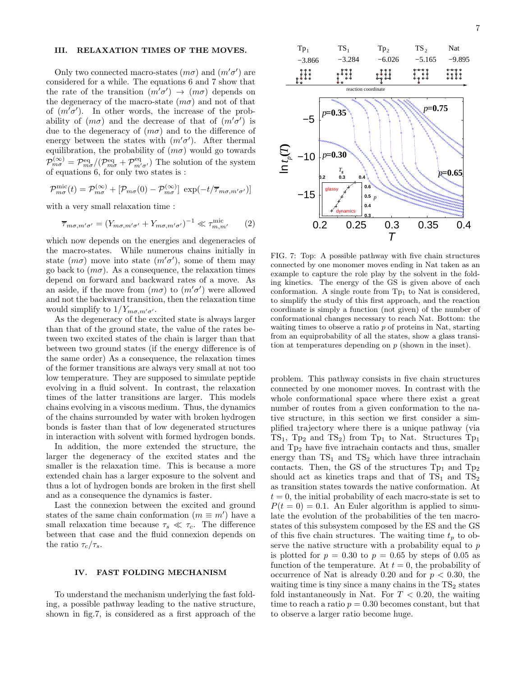## III. RELAXATION TIMES OF THE MOVES.

Only two connected macro-states  $(m\sigma)$  and  $(m'\sigma')$  are considered for a while. The equations 6 and 7 show that the rate of the transition  $(m'\sigma') \rightarrow (m\sigma)$  depends on the degeneracy of the macro-state  $(m\sigma)$  and not of that of  $(m'\sigma')$ . In other words, the increase of the probability of  $(m\sigma)$  and the decrease of that of  $(m'\sigma')$  is due to the degeneracy of  $(m\sigma)$  and to the difference of energy between the states with  $(m'\sigma')$ . After thermal equilibration, the probability of  $(m\sigma)$  would go towards  $\mathcal{P}_{m\sigma}^{(\infty)} = \mathcal{P}_{m\sigma}^{\text{eq}}/(\mathcal{P}_{m\sigma}^{\text{eq}} + \mathcal{P}_{m'\sigma'}^{\text{eq}})$  The solution of the system of equations 6, for only two states is :

$$
\mathcal{P}_{m\sigma}^{\text{mic}}(t) = \mathcal{P}_{m\sigma}^{(\infty)} + [\mathcal{P}_{m\sigma}(0) - \mathcal{P}_{m\sigma}^{(\infty)}] \exp(-t/\overline{\tau}_{m\sigma,m'\sigma'})]
$$

with a very small relaxation time :

$$
\overline{\tau}_{m\sigma,m'\sigma'} = (Y_{m\sigma,m'\sigma'} + Y_{m\sigma,m'\sigma'})^{-1} \ll \tau_{m,m'}^{\text{mic}} \tag{2}
$$

which now depends on the energies and degeneracies of the macro-states. While numerous chains initially in state  $(m\sigma)$  move into state  $(m'\sigma')$ , some of them may go back to  $(m\sigma)$ . As a consequence, the relaxation times depend on forward and backward rates of a move. As an aside, if the move from  $(m\sigma)$  to  $(m'\sigma')$  were allowed and not the backward transition, then the relaxation time would simplify to  $1/Y_{m\sigma,m'\sigma'}$ .

As the degeneracy of the excited state is always larger than that of the ground state, the value of the rates between two excited states of the chain is larger than that between two ground states (if the energy difference is of the same order) As a consequence, the relaxation times of the former transitions are always very small at not too low temperature. They are supposed to simulate peptide evolving in a fluid solvent. In contrast, the relaxation times of the latter transitions are larger. This models chains evolving in a viscous medium. Thus, the dynamics of the chains surrounded by water with broken hydrogen bonds is faster than that of low degenerated structures in interaction with solvent with formed hydrogen bonds.

In addition, the more extended the structure, the larger the degeneracy of the excited states and the smaller is the relaxation time. This is because a more extended chain has a larger exposure to the solvent and thus a lot of hydrogen bonds are broken in the first shell and as a consequence the dynamics is faster.

Last the connexion between the excited and ground states of the same chain conformation  $(m \equiv m')$  have a small relaxation time because  $\tau_s \ll \tau_c$ . The difference between that case and the fluid connexion depends on the ratio  $\tau_c/\tau_s$ .

### IV. FAST FOLDING MECHANISM

To understand the mechanism underlying the fast folding, a possible pathway leading to the native structure, shown in fig.7, is considered as a first approach of the



FIG. 7: Top: A possible pathway with five chain structures connected by one monomer moves ending in Nat taken as an example to capture the role play by the solvent in the folding kinetics. The energy of the GS is given above of each conformation. A single route from  $Tp_1$  to Nat is considered, to simplify the study of this first approach, and the reaction coordinate is simply a function (not given) of the number of conformational changes necessary to reach Nat. Bottom: the waiting times to observe a ratio p of proteins in Nat, starting from an equiprobability of all the states, show a glass transition at temperatures depending on p (shown in the inset).

problem. This pathway consists in five chain structures connected by one monomer moves. In contrast with the whole conformational space where there exist a great number of routes from a given conformation to the native structure, in this section we first consider a simplified trajectory where there is a unique pathway (via  $TS_1$ ,  $Tp_2$  and  $TS_2$ ) from  $Tp_1$  to Nat. Structures  $Tp_1$ and Tp<sup>2</sup> have five intrachain contacts and thus, smaller energy than  $TS_1$  and  $TS_2$  which have three intrachain contacts. Then, the GS of the structures  $\mathop{\mathrm{Tp}}\nolimits_1$  and  $\mathop{\mathrm{Tp}}\nolimits_2$ should act as kinetics traps and that of  $TS_1$  and  $TS_2$ as transition states towards the native conformation. At  $t = 0$ , the initial probability of each macro-state is set to  $P(t = 0) = 0.1$ . An Euler algorithm is applied to simulate the evolution of the probabilities of the ten macrostates of this subsystem composed by the ES and the GS of this five chain structures. The waiting time  $t_p$  to observe the native structure with a probability equal to p is plotted for  $p = 0.30$  to  $p = 0.65$  by steps of 0.05 as function of the temperature. At  $t = 0$ , the probability of occurrence of Nat is already 0.20 and for  $p < 0.30$ , the waiting time is tiny since a many chains in the  $TS<sub>2</sub>$  states fold instantaneously in Nat. For  $T < 0.20$ , the waiting time to reach a ratio  $p = 0.30$  becomes constant, but that to observe a larger ratio become huge.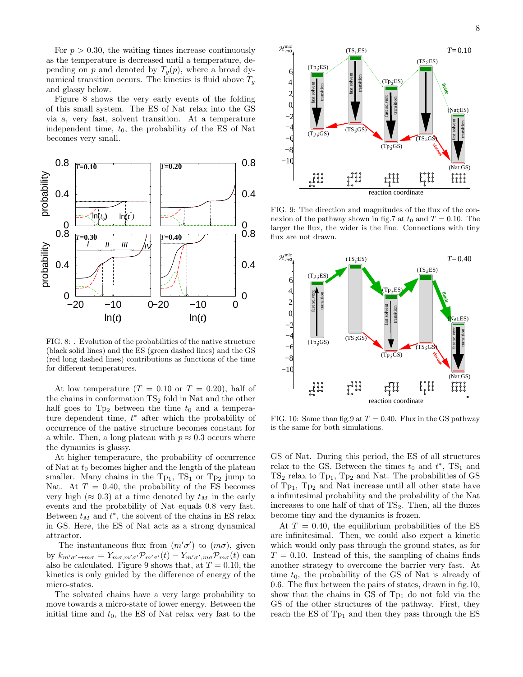For  $p > 0.30$ , the waiting times increase continuously as the temperature is decreased until a temperature, depending on p and denoted by  $T_q(p)$ , where a broad dynamical transition occurs. The kinetics is fluid above  $T_q$ and glassy below.

Figure 8 shows the very early events of the folding of this small system. The ES of Nat relax into the GS via a, very fast, solvent transition. At a temperature independent time,  $t_0$ , the probability of the ES of Nat becomes very small.



FIG. 8: . Evolution of the probabilities of the native structure (black solid lines) and the ES (green dashed lines) and the GS (red long dashed lines) contributions as functions of the time for different temperatures.

At low temperature  $(T = 0.10 \text{ or } T = 0.20)$ , half of the chains in conformation  $TS_2$  fold in Nat and the other half goes to  $Tp_2$  between the time  $t_0$  and a temperature dependent time,  $t^*$  after which the probability of occurrence of the native structure becomes constant for a while. Then, a long plateau with  $p \approx 0.3$  occurs where the dynamics is glassy.

At higher temperature, the probability of occurrence of Nat at  $t_0$  becomes higher and the length of the plateau smaller. Many chains in the  $Tp_1$ ,  $TS_1$  or  $Tp_2$  jump to Nat. At  $T = 0.40$ , the probability of the ES becomes very high ( $\approx 0.3$ ) at a time denoted by  $t_M$  in the early events and the probability of Nat equals 0.8 very fast. Between  $t_M$  and  $t^*$ , the solvent of the chains in ES relax in GS. Here, the ES of Nat acts as a strong dynamical attractor.

The instantaneous flux from  $(m'\sigma')$  to  $(m\sigma)$ , given by  $k_{m'\sigma'\to m\sigma} = Y_{m\sigma,m'\sigma'}\mathcal{P}_{m'\sigma'}(t) - Y_{m'\sigma',m\sigma}\mathcal{P}_{m\sigma}(t)$  can also be calculated. Figure 9 shows that, at  $T = 0.10$ , the kinetics is only guided by the difference of energy of the micro-states.

The solvated chains have a very large probability to move towards a micro-state of lower energy. Between the initial time and  $t_0$ , the ES of Nat relax very fast to the



FIG. 9: The direction and magnitudes of the flux of the connexion of the pathway shown in fig.7 at  $t_0$  and  $T = 0.10$ . The larger the flux, the wider is the line. Connections with tiny flux are not drawn.



FIG. 10: Same than fig. 9 at  $T = 0.40$ . Flux in the GS pathway is the same for both simulations.

GS of Nat. During this period, the ES of all structures relax to the GS. Between the times  $t_0$  and  $t^*$ , TS<sub>1</sub> and  $TS<sub>2</sub>$  relax to  $Tp<sub>1</sub>$ ,  $Tp<sub>2</sub>$  and Nat. The probabilities of GS of Tp1, Tp<sup>2</sup> and Nat increase until all other state have a infinitesimal probability and the probability of the Nat increases to one half of that of  $TS_2$ . Then, all the fluxes become tiny and the dynamics is frozen.

At  $T = 0.40$ , the equilibrium probabilities of the ES are infinitesimal. Then, we could also expect a kinetic which would only pass through the ground states, as for  $T = 0.10$ . Instead of this, the sampling of chains finds another strategy to overcome the barrier very fast. At time  $t_0$ , the probability of the GS of Nat is already of 0.6. The flux between the pairs of states, drawn in fig.10, show that the chains in GS of  $Tp_1$  do not fold via the GS of the other structures of the pathway. First, they reach the ES of  $Tp_1$  and then they pass through the ES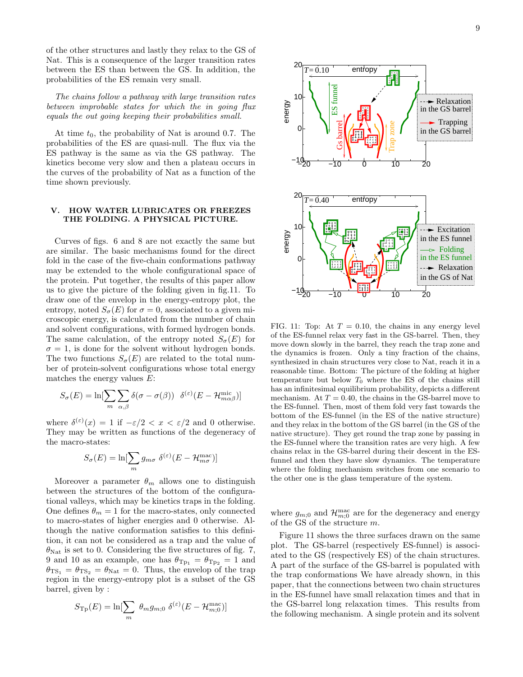of the other structures and lastly they relax to the GS of Nat. This is a consequence of the larger transition rates between the ES than between the GS. In addition, the probabilities of the ES remain very small.

The chains follow a pathway with large transition rates between improbable states for which the in going flux equals the out going keeping their probabilities small.

At time  $t_0$ , the probability of Nat is around 0.7. The probabilities of the ES are quasi-null. The flux via the ES pathway is the same as via the GS pathway. The kinetics become very slow and then a plateau occurs in the curves of the probability of Nat as a function of the time shown previously.

## V. HOW WATER LUBRICATES OR FREEZES THE FOLDING. A PHYSICAL PICTURE.

Curves of figs. 6 and 8 are not exactly the same but are similar. The basic mechanisms found for the direct fold in the case of the five-chain conformations pathway may be extended to the whole configurational space of the protein. Put together, the results of this paper allow us to give the picture of the folding given in fig.11. To draw one of the envelop in the energy-entropy plot, the entropy, noted  $S_{\sigma}(E)$  for  $\sigma = 0$ , associated to a given microscopic energy, is calculated from the number of chain and solvent configurations, with formed hydrogen bonds. The same calculation, of the entropy noted  $S_{\sigma}(E)$  for  $\sigma = 1$ , is done for the solvent without hydrogen bonds. The two functions  $S_{\sigma}(E)$  are related to the total number of protein-solvent configurations whose total energy matches the energy values  $E$ :

$$
S_{\sigma}(E) = \ln[\sum_{m} \sum_{\alpha,\beta} \delta(\sigma - \sigma(\beta)) \delta^{(\varepsilon)}(E - \mathcal{H}_{m\alpha\beta}^{\text{mic}})]
$$

where  $\delta^{(\varepsilon)}(x) = 1$  if  $-\varepsilon/2 < x < \varepsilon/2$  and 0 otherwise. They may be written as functions of the degeneracy of the macro-states:

$$
S_{\sigma}(E) = \ln[\sum_{m} g_{m\sigma} \ \delta^{(\varepsilon)}(E - \mathcal{H}_{m\sigma}^{\text{mac}})]
$$

Moreover a parameter  $\theta_m$  allows one to distinguish between the structures of the bottom of the configurational valleys, which may be kinetics traps in the folding. One defines  $\theta_m = 1$  for the macro-states, only connected to macro-states of higher energies and 0 otherwise. Although the native conformation satisfies to this definition, it can not be considered as a trap and the value of  $\theta_{\text{Nat}}$  is set to 0. Considering the five structures of fig. 7, 9 and 10 as an example, one has  $\theta_{\text{Tp}_1} = \theta_{\text{Tp}_2} = 1$  and  $\theta_{\text{TS}_1} = \theta_{\text{TS}_2} = \theta_{\text{Nat}} = 0$ . Thus, the envelop of the trap region in the energy-entropy plot is a subset of the GS barrel, given by :

$$
S_{\text{Tp}}(E) = \ln[\sum_{m} \theta_m g_{m;0} \ \delta^{(\varepsilon)}(E - \mathcal{H}_{m;0}^{\text{mac}})]
$$



FIG. 11: Top: At  $T = 0.10$ , the chains in any energy level of the ES-funnel relax very fast in the GS-barrel. Then, they move down slowly in the barrel, they reach the trap zone and the dynamics is frozen. Only a tiny fraction of the chains, synthesized in chain structures very close to Nat, reach it in a reasonable time. Bottom: The picture of the folding at higher temperature but below  $T_0$  where the ES of the chains still has an infinitesimal equilibrium probability, depicts a different mechanism. At  $T = 0.40$ , the chains in the GS-barrel move to the ES-funnel. Then, most of them fold very fast towards the bottom of the ES-funnel (in the ES of the native structure) and they relax in the bottom of the GS barrel (in the GS of the native structure). They get round the trap zone by passing in the ES-funnel where the transition rates are very high. A few chains relax in the GS-barrel during their descent in the ESfunnel and then they have slow dynamics. The temperature where the folding mechanism switches from one scenario to the other one is the glass temperature of the system.

where  $g_{m;0}$  and  $\mathcal{H}_{m;0}^{\text{mac}}$  are for the degeneracy and energy of the GS of the structure m.

Figure 11 shows the three surfaces drawn on the same plot. The GS-barrel (respectively ES-funnel) is associated to the GS (respectively ES) of the chain structures. A part of the surface of the GS-barrel is populated with the trap conformations We have already shown, in this paper, that the connections between two chain structures in the ES-funnel have small relaxation times and that in the GS-barrel long relaxation times. This results from the following mechanism. A single protein and its solvent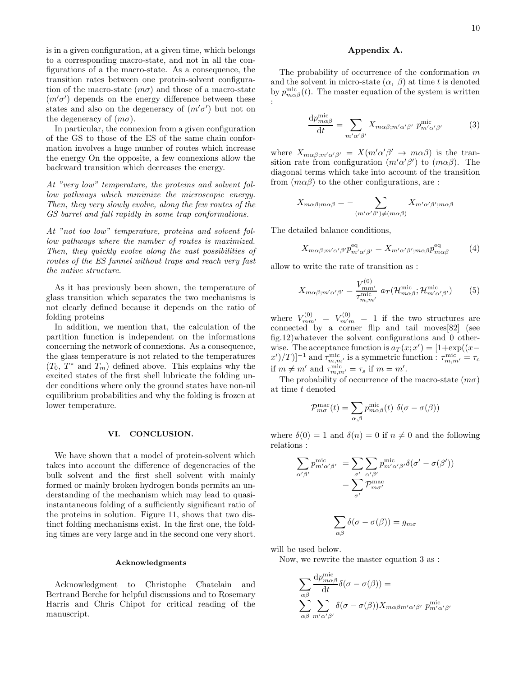is in a given configuration, at a given time, which belongs to a corresponding macro-state, and not in all the configurations of a the macro-state. As a consequence, the transition rates between one protein-solvent configuration of the macro-state  $(m\sigma)$  and those of a macro-state  $(m'\sigma')$  depends on the energy difference between these states and also on the degeneracy of  $(m'\sigma')$  but not on the degeneracy of  $(m\sigma)$ .

In particular, the connexion from a given configuration of the GS to those of the ES of the same chain conformation involves a huge number of routes which increase the energy On the opposite, a few connexions allow the backward transition which decreases the energy.

At "very low" temperature, the proteins and solvent follow pathways which minimize the microscopic energy. Then, they very slowly evolve, along the few routes of the GS barrel and fall rapidly in some trap conformations.

At "not too low" temperature, proteins and solvent follow pathways where the number of routes is maximized. Then, they quickly evolve along the vast possibilities of routes of the ES funnel without traps and reach very fast the native structure.

As it has previously been shown, the temperature of glass transition which separates the two mechanisms is not clearly defined because it depends on the ratio of folding proteins

In addition, we mention that, the calculation of the partition function is independent on the informations concerning the network of connexions. As a consequence, the glass temperature is not related to the temperatures  $(T_0, T^*$  and  $T_m)$  defined above. This explains why the excited states of the first shell lubricate the folding under conditions where only the ground states have non-nil equilibrium probabilities and why the folding is frozen at lower temperature.

### VI. CONCLUSION.

We have shown that a model of protein-solvent which takes into account the difference of degeneracies of the bulk solvent and the first shell solvent with mainly formed or mainly broken hydrogen bonds permits an understanding of the mechanism which may lead to quasiinstantaneous folding of a sufficiently significant ratio of the proteins in solution. Figure 11, shows that two distinct folding mechanisms exist. In the first one, the folding times are very large and in the second one very short.

#### Acknowledgments

Acknowledgment to Christophe Chatelain and Bertrand Berche for helpful discussions and to Rosemary Harris and Chris Chipot for critical reading of the manuscript.

## Appendix A.

The probability of occurrence of the conformation  $m$ and the solvent in micro-state  $(\alpha, \beta)$  at time t is denoted by  $p_{m\alpha\beta}^{\text{mic}}(t)$ . The master equation of the system is written :

$$
\frac{\mathrm{d}p_{m\alpha\beta}^{\text{mic}}}{\mathrm{d}t} = \sum_{m'\alpha'\beta'} X_{m\alpha\beta;m'\alpha'\beta'} p_{m'\alpha'\beta'}^{\text{mic}} \tag{3}
$$

where  $X_{m\alpha\beta;m'\alpha'\beta'} = X(m'\alpha'\beta' \rightarrow m\alpha\beta)$  is the transition rate from configuration  $(m'\alpha'\beta')$  to  $(m\alpha\beta)$ . The diagonal terms which take into account of the transition from  $(m\alpha\beta)$  to the other configurations, are :

$$
X_{m\alpha\beta;m\alpha\beta} = -\sum_{(m'\alpha'\beta')\neq(m\alpha\beta)} X_{m'\alpha'\beta';m\alpha\beta}
$$

The detailed balance conditions,

$$
X_{m\alpha\beta;m'\alpha'\beta'}p_{m'\alpha'\beta'}^{\text{eq}} = X_{m'\alpha'\beta';m\alpha\beta}p_{m\alpha\beta}^{\text{eq}} \tag{4}
$$

allow to write the rate of transition as :

$$
X_{m\alpha\beta;m'\alpha'\beta'} = \frac{V_{mm'}^{(0)}}{\tau_{m,m'}^{\text{mic}}} a_T(\mathcal{H}_{m\alpha\beta}^{\text{mic}}; \mathcal{H}_{m'\alpha'\beta'}^{\text{mic}})
$$
(5)

where  $V_{mm'}^{(0)} = V_{m'm}^{(0)} = 1$  if the two structures are connected by a corner flip and tail moves[82] (see fig.12)whatever the solvent configurations and 0 otherwise. The acceptance function is  $a_T(x; x') = [1 + \exp((x (x')/T$ ]<sup>-1</sup> and  $\tau_{m,m'}^{\text{mic}}$  is a symmetric function :  $\tau_{m,m'}^{\text{mic}} = \tau_c$ if  $m \neq m'$  and  $\tau_{m,m'}^{\text{mic}} = \tau_s$  if  $m = m'$ .

The probability of occurrence of the macro-state  $(m\sigma)$ at time t denoted

$$
\mathcal{P}_{m\sigma}^{\text{mac}}(t) = \sum_{\alpha,\beta} p_{m\alpha\beta}^{\text{mic}}(t) \delta(\sigma - \sigma(\beta))
$$

where  $\delta(0) = 1$  and  $\delta(n) = 0$  if  $n \neq 0$  and the following relations :

$$
\sum_{\alpha'\beta'} p_{m'\alpha'\beta'}^{\text{mic}} = \sum_{\sigma'} \sum_{\alpha'\beta'} p_{m'\alpha'\beta'}^{\text{mic}} \delta(\sigma' - \sigma(\beta'))
$$

$$
= \sum_{\sigma'} p_{m\sigma'}^{\text{nacc}}
$$

$$
\sum_{\alpha\beta}\delta(\sigma-\sigma(\beta))=g_{m\sigma}
$$

will be used below.

Now, we rewrite the master equation 3 as :

$$
\sum_{\alpha\beta} \frac{dp_{m\alpha\beta}^{\text{mic}}}{dt} \delta(\sigma - \sigma(\beta)) =
$$
  

$$
\sum_{\alpha\beta} \sum_{m'\alpha'\beta'} \delta(\sigma - \sigma(\beta)) X_{m\alpha\beta m'\alpha'\beta'} p_{m'\alpha'\beta'}^{\text{mic}}
$$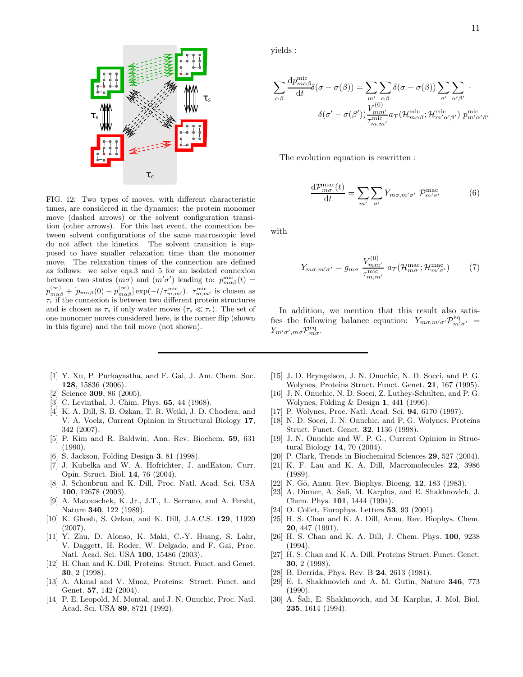

FIG. 12: Two types of moves, with different characteristic times, are considered in the dynamics: the protein monomer move (dashed arrows) or the solvent configuration transition (other arrows). For this last event, the connection between solvent configurations of the same macroscopic level do not affect the kinetics. The solvent transition is supposed to have smaller relaxation time than the monomer move. The relaxation times of the connection are defined as follows: we solve eqs.3 and 5 for an isolated connexion between two states  $(m\sigma)$  and  $(m'\sigma')$  leading to:  $p_{m\alpha\beta}^{\text{mic}}(t)$  =  $p_{m\alpha\beta}^{(\infty)} + [p_{m\alpha\beta}(0) - p_{m\alpha\beta}^{(\infty)}] \exp(-t/\tau_{m,m'}^{\text{mic}})$ .  $\tau_{m,m'}^{\text{mic}}$  is chosen as  $\tau_c$  if the connexion is between two different protein structures and is chosen as  $\tau_s$  if only water moves  $(\tau_s \ll \tau_c)$ . The set of one monomer moves considered here, is the corner flip (shown in this figure) and the tail move (not shown).

- [1] Y. Xu, P. Purkayastha, and F. Gai, J. Am. Chem. Soc. 128, 15836 (2006).
- [2] Science 309, 86 (2005).
- [3] C. Levinthal, J. Chim. Phys. **65**, 44 (1968).
- [4] K. A. Dill, S. B. Ozkan, T. R. Weikl, J. D. Chodera, and V. A. Voelz, Current Opinion in Structural Biology 17, 342 (2007).
- [5] P. Kim and R. Baldwin, Ann. Rev. Biochem. 59, 631 (1990).
- [6] S. Jackson, Folding Design 3, 81 (1998).
- [7] J. Kubelka and W. A. Hofrichter, J. andEaton, Curr. Opin. Struct. Biol. 14, 76 (2004).
- [8] J. Schonbrun and K. Dill, Proc. Natl. Acad. Sci. USA 100, 12678 (2003).
- [9] A. Matouschek, K. Jr., J.T., L. Serrano, and A. Fersht, Nature 340, 122 (1989).
- [10] K. Ghosh, S. Ozkan, and K. Dill, J.A.C.S. 129, 11920 (2007).
- [11] Y. Zhu, D. Alonso, K. Maki, C.-Y. Huang, S. Lahr, V. Daggett, H. Roder, W. Delgado, and F. Gai, Proc. Natl. Acad. Sci. USA 100, 15486 (2003).
- [12] H. Chan and K. Dill, Proteins: Struct. Funct. and Genet. 30, 2 (1998).
- [13] A. Akmal and V. Muoz, Proteins: Struct. Funct. and Genet. 57, 142 (2004).
- [14] P. E. Leopold, M. Montal, and J. N. Onuchic, Proc. Natl. Acad. Sci. USA 89, 8721 (1992).

yields :

$$
\sum_{\alpha\beta} \frac{dp_{m\alpha\beta}^{\text{mic}}}{dt} \delta(\sigma - \sigma(\beta)) = \sum_{m'} \sum_{\alpha\beta} \delta(\sigma - \sigma(\beta)) \sum_{\sigma'} \sum_{\alpha'\beta'} \cdot \delta(\sigma' - \sigma(\beta')) \sum_{m'} \sum_{\alpha'\beta'} \delta(\sigma' - \sigma(\beta')) \frac{V_{m'}^{(0)}}{T_{m,m'}^{\text{mic}}} \delta(\sigma' - \sigma(\beta')) \sum_{\tau \text{mic}} \sum_{m'\alpha'\beta'} \mu_{m'\alpha'\beta'}^{\text{mic}}.
$$

The evolution equation is rewritten :

$$
\frac{\mathrm{d}\mathcal{P}_{m\sigma}^{\text{mac}}(t)}{\mathrm{d}t} = \sum_{m'} \sum_{\sigma'} Y_{m\sigma,m'\sigma'} \ \mathcal{P}_{m'\sigma'}^{\text{mac}} \tag{6}
$$

with

$$
Y_{m\sigma,m'\sigma'} = g_{m\sigma} \frac{V_{mm'}^{(0)}}{\tau_{m,m'}^{\text{min}}} a_T(\mathcal{H}_{m\sigma}^{\text{mac}}; \mathcal{H}_{m'\sigma'}^{\text{mac}})
$$
(7)

In addition, we mention that this result also satisfies the following balance equation:  $Y_{m\sigma,m'\sigma'}\mathcal{P}_{m'\sigma'}^{\text{eq}} =$  $Y_{m'\sigma',m\sigma} \mathcal{P}_{m\sigma}^{\text{eq}}.$ 

- [15] J. D. Bryngelson, J. N. Onuchic, N. D. Socci, and P. G. Wolynes, Proteins Struct. Funct. Genet. 21, 167 (1995).
- [16] J. N. Onuchic, N. D. Socci, Z. Luthey-Schulten, and P. G. Wolynes, Folding & Design 1, 441 (1996).
- [17] P. Wolynes, Proc. Natl. Acad. Sci. 94, 6170 (1997).
- [18] N. D. Socci, J. N. Onuchic, and P. G. Wolynes, Proteins Struct. Funct. Genet. 32, 1136 (1998).
- [19] J. N. Onuchic and W. P. G., Current Opinion in Structural Biology 14, 70 (2004).
- [20] P. Clark, Trends in Biochemical Sciences **29**, 527 (2004).
- [21] K. F. Lau and K. A. Dill, Macromolecules 22, 3986 (1989).
- [22] N. Gõ, Annu. Rev. Biophys. Bioeng. 12, 183 (1983).
- [23] A. Dinner, A. Šali, M. Karplus, and E. Shakhnovich, J. Chem. Phys. 101, 1444 (1994).
- [24] O. Collet, Europhys. Letters **53**, 93 (2001).
- [25] H. S. Chan and K. A. Dill, Annu. Rev. Biophys. Chem. 20, 447 (1991).
- [26] H. S. Chan and K. A. Dill, J. Chem. Phys. 100, 9238 (1994).
- [27] H. S. Chan and K. A. Dill, Proteins Struct. Funct. Genet. 30, 2 (1998).
- [28] B. Derrida, Phys. Rev. B **24**, 2613 (1981).
- [29] E. I. Shakhnovich and A. M. Gutin, Nature 346, 773 (1990).
- [30] A. Šali, E. Shakhnovich, and M. Karplus, J. Mol. Biol. 235, 1614 (1994).